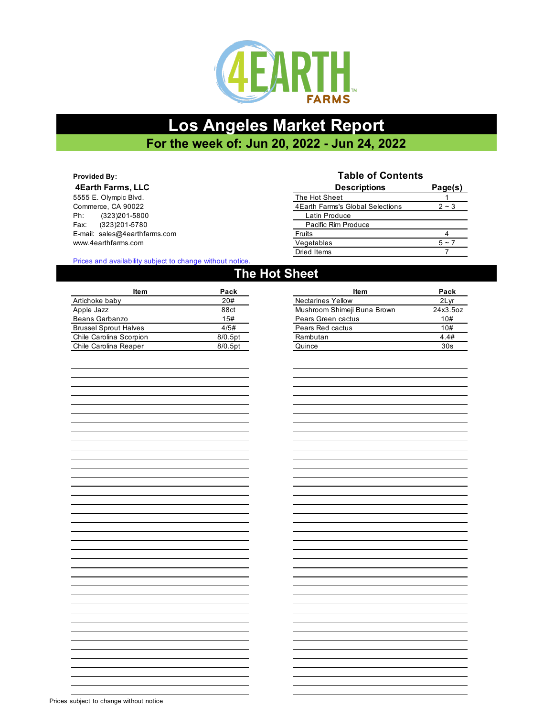

# **Los Angeles Market Report For the week of: Jun 20, 2022 - Jun 24, 2022**

### **Provided By: 4Earth Farms, LLC**

5555 E. Olympic Blvd. Commerce, CA 90022 Ph: (323)201-5800 Fax: (323) 201-5780 E-mail: sales@4earthfarms.com www.4earthfarms.com

## **Table of Contents**

| <b>Descriptions</b>               | Page(s) |
|-----------------------------------|---------|
| The Hot Sheet                     |         |
| 4 Earth Farms's Global Selections | $2 - 3$ |
| Latin Produce                     |         |
| Pacific Rim Produce               |         |
| Fruits                            |         |
| Vegetables                        | $5 - 7$ |
| Dried Items                       |         |

### Prices and availability subject to change without notice.

| The Hot Sheet           |            |                             |          |  |  |
|-------------------------|------------|-----------------------------|----------|--|--|
| ltem                    | Pack       | ltem                        | Pack     |  |  |
| Artichoke baby          | 20#        | <b>Nectarines Yellow</b>    | 2Lyr     |  |  |
| Apple Jazz              | 88ct       | Mushroom Shimeji Buna Brown | 24x3.5oz |  |  |
| Beans Garbanzo          | 15#        | Pears Green cactus          | 10#      |  |  |
| Brussel Sprout Halves   | 4/5#       | Pears Red cactus            | 10#      |  |  |
| Chile Carolina Scorpion | $8/0.5$ pt | Rambutan                    | 4.4#     |  |  |

| ltem                         |         | ltem                        |          |
|------------------------------|---------|-----------------------------|----------|
|                              | Pack    |                             | Pack     |
| Artichoke baby               | 20#     | <b>Nectarines Yellow</b>    | 2Lyr     |
| Apple Jazz                   | 88ct    | Mushroom Shimeji Buna Brown | 24x3.5oz |
| Beans Garbanzo               | 15#     | Pears Green cactus          | 10#      |
| <b>Brussel Sprout Halves</b> | 4/5#    | Pears Red cactus            | 10#      |
| Chile Carolina Scorpion      | 8/0.5pt | Rambutan                    | 4.4#     |
| Chile Carolina Reaper        | 8/0.5pt | Quince                      | 30s      |
|                              |         |                             |          |

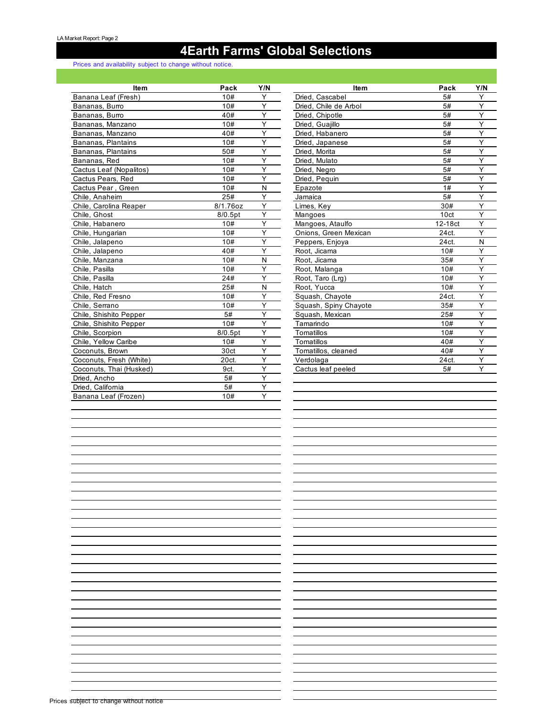# **4Earth Farms' Global Selections**

## Prices and availability subject to change without notice.

| ltem                    | Pack     | Y/N | ltem                  | Pack             | Y/I |
|-------------------------|----------|-----|-----------------------|------------------|-----|
| Banana Leaf (Fresh)     | 10#      | Y   | Dried, Cascabel       | 5#               | Y   |
| Bananas, Burro          | 10#      | Y   | Dried. Chile de Arbol | 5#               | Y   |
| Bananas, Burro          | 40#      | Y   | Dried, Chipotle       | 5#               | Y   |
| Bananas, Manzano        | 10#      | Y   | Dried, Guajillo       | 5#               | Y   |
| Bananas, Manzano        | 40#      | Y   | Dried. Habanero       | 5#               | Y   |
| Bananas, Plantains      | 10#      | Y   | Dried, Japanese       | 5#               | Y   |
| Bananas, Plantains      | 50#      | Y   | Dried. Morita         | 5#               | Y   |
| Bananas, Red            | 10#      | Y   | Dried. Mulato         | 5#               | Y   |
| Cactus Leaf (Nopalitos) | 10#      | Ý   | Dried, Negro          | 5#               | Y   |
| Cactus Pears, Red       | 10#      | Y   | Dried, Pequin         | 5#               | Y   |
| Cactus Pear, Green      | 10#      | N   | Epazote               | 1#               | Y   |
| Chile, Anaheim          | 25#      | Y   | Jamaica               | 5#               | Y   |
| Chile, Carolina Reaper  | 8/1.76oz | Y   | Limes, Key            | 30#              | Y   |
| Chile, Ghost            | 8/0.5pt  | Y   | Mangoes               | 10 <sub>ct</sub> | Y   |
| Chile, Habanero         | 10#      | Y   | Mangoes, Ataulfo      | 12-18ct          | Y   |
| Chile, Hungarian        | 10#      | Y   | Onions, Green Mexican | 24ct.            | Y   |
| Chile, Jalapeno         | 10#      | Y   | Peppers, Enjoya       | 24ct.            | N   |
| Chile, Jalapeno         | 40#      | Y   | Root, Jicama          | 10#              | Υ   |
| Chile, Manzana          | 10#      | N   | Root, Jicama          | 35#              | Y   |
| Chile, Pasilla          | 10#      | Y   | Root, Malanga         | 10#              | Y   |
| Chile, Pasilla          | 24#      | Y   | Root, Taro (Lrg)      | 10#              | Y   |
| Chile, Hatch            | 25#      | N   | Root. Yucca           | 10#              | Y   |
| Chile, Red Fresno       | 10#      | Y   | Squash, Chayote       | 24ct.            | Y   |
| Chile, Serrano          | 10#      | Y   | Squash, Spiny Chayote | 35#              | Y   |
| Chile, Shishito Pepper  | 5#       | Y   | Squash, Mexican       | 25#              | Y   |
| Chile, Shishito Pepper  | 10#      | Y   | Tamarindo             | 10#              | Y   |
| Chile, Scorpion         | 8/0.5pt  | Y   | Tomatillos            | 10#              | Y   |
| Chile, Yellow Caribe    | 10#      | Y   | Tomatillos            | 40#              | Y   |
| Coconuts, Brown         | 30ct     | Y   | Tomatillos, cleaned   | 40#              | Y   |
| Coconuts, Fresh (White) | 20ct.    | Y   | Verdolaga             | 24ct.            | Y   |
| Coconuts, Thai (Husked) | 9ct.     | Y   | Cactus leaf peeled    | 5#               | Y   |
| Dried, Ancho            | 5#       | Ý   |                       |                  |     |
| Dried, California       | 5#       | Y   |                       |                  |     |
| Banana Leaf (Frozen)    | 10#      | Y   |                       |                  |     |

| <b>Item</b>    | Pack     | Y/N | <b>Item</b>           | Pack             | Y/N |
|----------------|----------|-----|-----------------------|------------------|-----|
| h)             | 10#      | Y   | Dried, Cascabel       | 5#               | Υ   |
|                | 10#      | Y   | Dried, Chile de Arbol | 5#               | Y   |
|                | 40#      | Y   | Dried, Chipotle       | 5#               | Y   |
| O              | 10#      | Y   | Dried, Guajillo       | 5#               | Υ   |
| $\overline{O}$ | 40#      | Y   | Dried, Habanero       | 5#               | Y   |
| s              | 10#      | Y   | Dried, Japanese       | 5#               | Y   |
| s              | 50#      | Y   | Dried, Morita         | 5#               | Y   |
|                | 10#      | Y   | Dried, Mulato         | 5#               | Y   |
| litos)         | 10#      | Y   | Dried, Negro          | 5#               | Y   |
|                | 10#      | Y   | Dried, Pequin         | 5#               | Y   |
| 9IJ            | 10#      | N   | Epazote               | 1#               | Y   |
|                | 25#      | Y   | Jamaica               | 5#               | Y   |
| aper           | 8/1.76oz | Y   | Limes, Key            | 30#              | Y   |
|                | 8/0.5pt  | Y   | Mangoes               | 10 <sub>ct</sub> | Y   |
|                | 10#      | Y   | Mangoes, Ataulfo      | 12-18ct          | Y   |
|                | 10#      | Y   | Onions, Green Mexican | 24ct.            | Y   |
|                | 10#      | Y   | Peppers, Enjoya       | 24ct.            | N   |
|                | 40#      | Υ   | Root, Jicama          | 10#              | Y   |
|                | 10#      | N   | Root, Jicama          | 35#              | Y   |
|                | 10#      | Y   | Root, Malanga         | 10#              | Υ   |
|                | 24#      | Y   | Root, Taro (Lrg)      | 10#              | Υ   |
|                | 25#      | N   | Root, Yucca           | 10#              | Ý   |
|                | 10#      | Y   | Squash, Chayote       | 24ct.            | Y   |
|                | 10#      | Υ   | Squash, Spiny Chayote | 35#              | Υ   |
| per            | 5#       | Y   | Squash, Mexican       | 25#              | Y   |
| per            | 10#      | Y   | Tamarindo             | 10#              | Y   |
|                | 8/0.5pt  | Y   | Tomatillos            | 10#              | Υ   |
| е              | 10#      | Y   | Tomatillos            | 40#              | Y   |
|                | 30ct     | Y   | Tomatillos, cleaned   | 40#              | Y   |
| Vhite)         | 20ct.    | Y   | Verdolaga             | 24ct.            | Y   |
| usked)         | 9ct.     | Y   | Cactus leaf peeled    | 5#               | Y   |
|                | 5#       | Y   |                       |                  |     |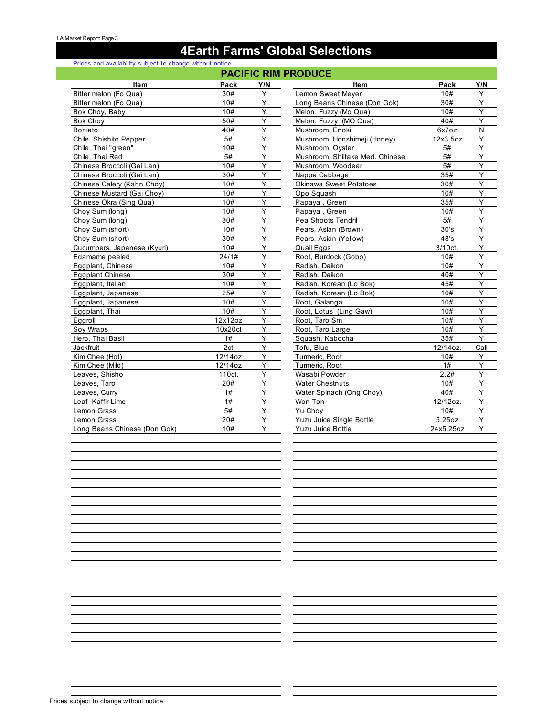## **4Earth Farms' Global Selections**

#### Prices and availability subject to change without notice.

### **PACIFIC RIM PRODUCE**

|                              |                       |     | . AVII 19 INIII 1 INGBUUL       |           |                         |
|------------------------------|-----------------------|-----|---------------------------------|-----------|-------------------------|
| <b>Item</b>                  | Pack                  | Y/N | Item                            | Pack      | Y/N                     |
| Bitter melon (Fo Qua)        | 30#                   | Y   | Lemon Sweet Meyer               | 10#       | Y                       |
| Bitter melon (Fo Qua)        | 10#                   | Y   | Long Beans Chinese (Don Gok)    | 30#       | Y                       |
| Bok Choy, Baby               | 10#                   | Y   | Melon, Fuzzy (Mo Qua)           | 10#       | Y                       |
| Bok Choy                     | 50#                   | Y   | Melon, Fuzzy (MO Qua)           | 40#       | Ÿ                       |
| Boniato                      | 40#                   | Y   | Mushroom, Enoki                 | 6x7oz     | $\overline{\mathsf{N}}$ |
| Chile, Shishito Pepper       | 5#                    | Y   | Mushroom, Honshimeji (Honey)    | 12x3.5oz  | Y                       |
| Chile, Thai "green"          | 10#                   | Υ   | Mushroom, Oyster                | 5#        | Y                       |
| Chile, Thai Red              | 5#                    | Y   | Mushroom, Shiitake Med. Chinese | 5#        | Y                       |
| Chinese Broccoli (Gai Lan)   | 10#                   | Y   | Mushroom, Woodear               | 5#        | Y                       |
| Chinese Broccoli (Gai Lan)   | 30#                   | Y   | Nappa Cabbage                   | 35#       | Ϋ                       |
| Chinese Celery (Kahn Choy)   | 10#                   | Y   | <b>Okinawa Sweet Potatoes</b>   | 30#       | Y                       |
| Chinese Mustard (Gai Choy)   | 10#                   | Y   | Opo Squash                      | 10#       | Y                       |
| Chinese Okra (Sing Qua)      | 10#                   | Y   | Papaya, Green                   | 35#       | Υ                       |
| Choy Sum (long)              | 10#                   | Y   | Papaya, Green                   | 10#       | Y                       |
| Choy Sum (long)              | 30#                   | Y   | Pea Shoots Tendril              | 5#        | Y                       |
| Choy Sum (short)             | 10#                   | Y   | Pears, Asian (Brown)            | 30's      | Y                       |
| Choy Sum (short)             | 30#                   | Y   | Pears, Asian (Yellow)           | 48's      | Y                       |
| Cucumbers, Japanese (Kyuri)  | 10#                   | Y   | Quail Eggs                      | 3/10ct.   | Y                       |
| Edamame peeled               | 24/1#                 | Y   | Root, Burdock (Gobo)            | 10#       | Y                       |
| Eggplant, Chinese            | 10#                   | Y   | Radish, Daikon                  | 10#       | Y                       |
| <b>Eggplant Chinese</b>      | 30#                   | Y   | Radish, Daikon                  | 40#       | Y                       |
| Eggplant, Italian            | 10#                   | Y   | Radish, Korean (Lo Bok)         | 45#       | Y                       |
| Eggplant, Japanese           | 25#                   | Y   | Radish, Korean (Lo Bok)         | 10#       | Y                       |
| Eggplant, Japanese           | 10#                   | Y   | Root, Galanga                   | 10#       | Y                       |
| Eggplant, Thai               | 10#                   | Y   | Root, Lotus (Ling Gaw)          | 10#       | Ÿ                       |
| Eggroll                      | 12x12oz               | Y   | Root. Taro Sm                   | 10#       | Y                       |
| Soy Wraps                    | 10x20ct               | Υ   | Root, Taro Large                | 10#       | Y                       |
| Herb, Thai Basil             | 1#                    | Y   | Squash, Kabocha                 | 35#       | Ÿ                       |
| Jackfruit                    | 2ct                   | Y   | Tofu, Blue                      | 12/14oz.  | Call                    |
| Kim Chee (Hot)               | $\overline{12}/14$ oz | Y   | Turmeric, Root                  | 10#       | Y                       |
| Kim Chee (Mild)              | 12/14oz               | Y   | Turmeric, Root                  | 1#        | Y                       |
| Leaves, Shisho               | 110ct.                | Y   | Wasabi Powder                   | 2.2#      | $\overline{Y}$          |
| Leaves, Taro                 | 20#                   | Y   | <b>Water Chestnuts</b>          | 10#       | Y                       |
| Leaves, Curry                | 1#                    | Y   | Water Spinach (Ong Choy)        | 40#       | Ϋ                       |
| Leaf Kaffir Lime             | 1#                    | Y   | Won Ton                         | 12/12oz.  | Y                       |
| Lemon Grass                  | 5#                    | Y   | Yu Chov                         | 10#       | Y                       |
| Lemon Grass                  | 20#                   | Y   | Yuzu Juice Single Bottle        | 5.25oz    | Υ                       |
| Long Beans Chinese (Don Gok) | 10#                   | Y   | <b>Yuzu Juice Bottle</b>        | 24x5.25oz | Y                       |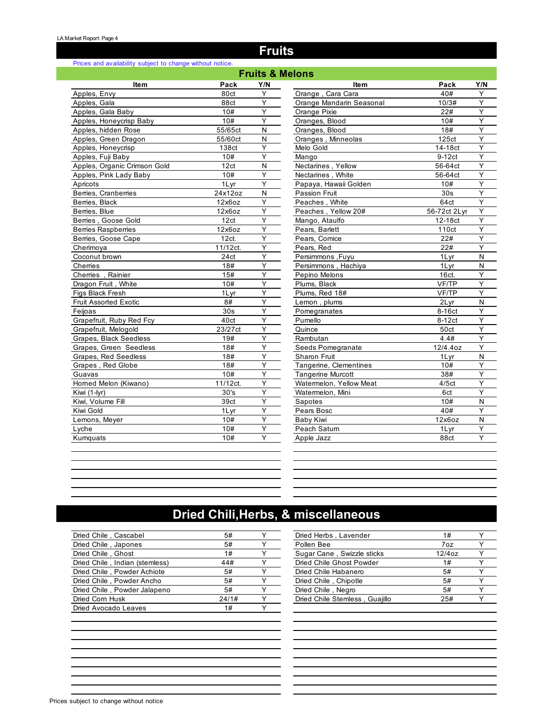## **Fruits**

#### Prices and availability subject to change without notice.

| <b>Fruits &amp; Melons</b>    |          |     |                          |                    |     |  |  |  |
|-------------------------------|----------|-----|--------------------------|--------------------|-----|--|--|--|
| <b>Item</b>                   | Pack     | Y/N | <b>Item</b>              | Pack               | Y/N |  |  |  |
| Apples, Envy                  | 80ct     | Y   | Orange, Cara Cara        | 40#                | Y   |  |  |  |
| Apples, Gala                  | 88ct     | Υ   | Orange Mandarin Seasonal | 10/3#              | Y   |  |  |  |
| Apples, Gala Baby             | 10#      | Y   | Orange Pixie             | 22#                | Y   |  |  |  |
| Apples, Honeycrisp Baby       | 10#      | Y   | Oranges, Blood           | 10#                | Y   |  |  |  |
| Apples, hidden Rose           | 55/65ct  | N   | Oranges, Blood           | 18#                | Y   |  |  |  |
| Apples, Green Dragon          | 55/60ct  | N   | Oranges, Minneolas       | 125ct              | Y   |  |  |  |
| Apples, Honeycrisp            | 138ct    | Y   | Melo Gold                | 14-18ct            | Y   |  |  |  |
| Apples, Fuji Baby             | 10#      | Y   | Mango                    | 9-12 <sub>ct</sub> | Y   |  |  |  |
| Apples, Organic Crimson Gold  | 12ct     | N   | Nectarines, Yellow       | 56-64ct            | Y   |  |  |  |
| Apples, Pink Lady Baby        | 10#      | Y   | Nectarines, White        | 56-64ct            | Y   |  |  |  |
| Apricots                      | 1 Lyr    | Y   | Papaya, Hawaii Golden    | 10#                | Y   |  |  |  |
| Berries, Cranberries          | 24x12oz  | N   | Passion Fruit            | 30 <sub>s</sub>    | Y   |  |  |  |
| Berries, Black                | 12x6oz   | Y   | Peaches, White           | 64ct               | Y   |  |  |  |
| Berries, Blue                 | 12x6oz   | Y   | Peaches, Yellow 20#      | 56-72ct 2Lyr       | Y   |  |  |  |
| Berries, Goose Gold           | 12ct     | Y   | Mango, Ataulfo           | 12-18ct            | Y   |  |  |  |
| <b>Berries Raspberries</b>    | 12x6oz   | Y   | Pears, Barlett           | 110 <sub>ct</sub>  | Y   |  |  |  |
| Berries, Goose Cape           | 12ct.    | Y   | Pears, Comice            | 22#                | Y   |  |  |  |
| Cherimoya                     | 11/12ct. | Y   | Pears, Red               | 22#                | Y   |  |  |  |
| Coconut brown                 | 24ct     | Y   | Persimmons, Fuyu         | 1Lyr               | N   |  |  |  |
| Cherries                      | 18#      | Y   | Persimmons, Hachiya      | 1Lyr               | N   |  |  |  |
| Cherries, Rainier             | 15#      | Y   | Pepino Melons            | 16ct.              | Y   |  |  |  |
| Dragon Fruit, White           | 10#      | Y   | Plums, Black             | VF/TP              | Y   |  |  |  |
| Figs Black Fresh              | 1Lyr     | Y   | Plums, Red 18#           | VF/TP              | Y   |  |  |  |
| Fruit Assorted Exotic         | 8#       | Y   | Lemon, plums             | 2Lyr               | N   |  |  |  |
| Feijoas                       | 30s      | Y   | Pomegranates             | 8-16ct             | Y   |  |  |  |
| Grapefruit, Ruby Red Fcy      | 40ct     | Y   | Pumello                  | 8-12ct             | Y   |  |  |  |
| Grapefruit, Melogold          | 23/27ct  | Υ   | Quince                   | 50ct               | Υ   |  |  |  |
| <b>Grapes, Black Seedless</b> | 19#      | Y   | Rambutan                 | 4.4#               | Y   |  |  |  |
| Grapes, Green Seedless        | 18#      | Y   | Seeds Pomegranate        | 12/4.4oz           | Y   |  |  |  |
| Grapes, Red Seedless          | 18#      | Y   | <b>Sharon Fruit</b>      | 1 Lyr              | N   |  |  |  |
| Grapes, Red Globe             | 18#      | Y   | Tangerine, Clementines   | 10#                | Y   |  |  |  |
| Guavas                        | 10#      | Y   | <b>Tangerine Murcott</b> | 38#                | Y   |  |  |  |
| Horned Melon (Kiwano)         | 11/12ct. | Υ   | Watermelon, Yellow Meat  | 4/5ct              | Y   |  |  |  |
| Kiwi (1-lyr)                  | 30's     | Y   | Watermelon, Mini         | 6ct                | Y   |  |  |  |
| Kiwi, Volume Fill             | 39ct     | Y   | Sapotes                  | 10#                | N   |  |  |  |
| Kiwi Gold                     | 1 Lyr    | Y   | Pears Bosc               | 40#                | Y   |  |  |  |
| Lemons, Meyer                 | 10#      | Y   | Baby Kiwi                | 12x6oz             | N   |  |  |  |
| Lyche                         | 10#      | Y   | Peach Saturn             | 1Lyr               | Y   |  |  |  |
| Kumquats                      | 10#      | Y   | Apple Jazz               | 88ct               | Y   |  |  |  |
|                               |          |     |                          |                    |     |  |  |  |

# **Dried Chili,Herbs, & miscellaneous**

| Dried Chile, Cascabel          | 5#    | Dried Herbs, Lavender          | 1#        |  |
|--------------------------------|-------|--------------------------------|-----------|--|
| Dried Chile, Japones           | 5#    | Pollen Bee                     | 7oz       |  |
| Dried Chile, Ghost             | 1#    | Sugar Cane, Swizzle sticks     | $12/4$ oz |  |
| Dried Chile, Indian (stemless) | 44#   | Dried Chile Ghost Powder       | 1#        |  |
| Dried Chile, Powder Achiote    | 5#    | Dried Chile Habanero           | 5#        |  |
| Dried Chile, Powder Ancho      | 5#    | Dried Chile, Chipotle          | 5#        |  |
| Dried Chile, Powder Jalapeno   | 5#    | Dried Chile, Negro             | 5#        |  |
| Dried Corn Husk                | 24/1# | Dried Chile Stemless, Guajillo | 25#       |  |
| Dried Avocado Leaves           | 1#    |                                |           |  |
|                                |       |                                |           |  |

| Dried Herbs, Lavender          | 1#        |  |
|--------------------------------|-----------|--|
| Pollen Bee                     | 7oz       |  |
| Sugar Cane, Swizzle sticks     | $12/4$ oz |  |
| Dried Chile Ghost Powder       | 1#        |  |
| Dried Chile Habanero           | 5#        |  |
| Dried Chile, Chipotle          | 5#        |  |
| Dried Chile, Negro             | 5#        |  |
| Dried Chile Stemless, Guajillo | 25#       |  |
|                                |           |  |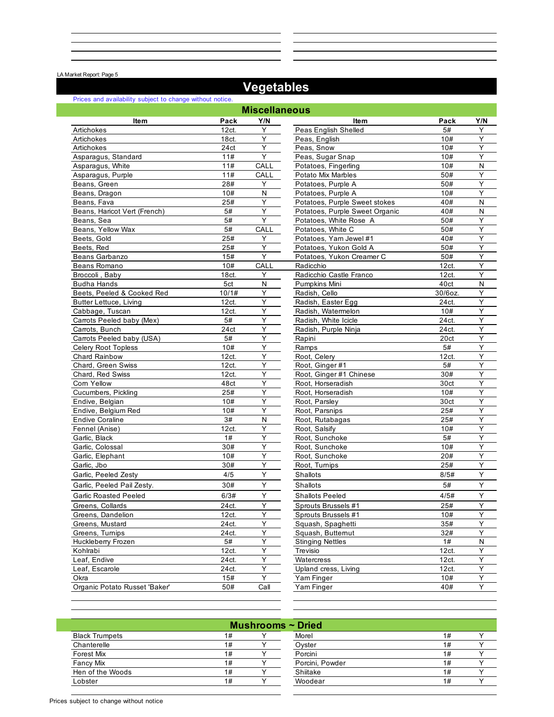LA Market Report: Page 5

## **Vegetables**

|                               | Prices and availability subject to change without notice. |                      |                                |         |           |  |  |  |
|-------------------------------|-----------------------------------------------------------|----------------------|--------------------------------|---------|-----------|--|--|--|
|                               |                                                           | <b>Miscellaneous</b> |                                |         |           |  |  |  |
| Item                          | Pack                                                      | Y/N                  | <b>Item</b>                    | Pack    | Y/N       |  |  |  |
| Artichokes                    | 12ct.                                                     | Y                    | Peas English Shelled           | 5#      | Y         |  |  |  |
| Artichokes                    | 18ct.                                                     | Υ                    | Peas, English                  | 10#     | Y         |  |  |  |
| Artichokes                    | 24ct                                                      | Υ                    | Peas, Snow                     | 10#     | Υ         |  |  |  |
| Asparagus, Standard           | 11#                                                       | Y                    | Peas, Sugar Snap               | 10#     | Y         |  |  |  |
| Asparagus, White              | 11#                                                       | CALL                 | Potatoes, Fingerling           | 10#     | ${\sf N}$ |  |  |  |
| Asparagus, Purple             | 11#                                                       | CALL                 | Potato Mix Marbles             | 50#     | Y         |  |  |  |
| Beans, Green                  | 28#                                                       | Y                    | Potatoes, Purple A             | 50#     | Y         |  |  |  |
| Beans, Dragon                 | 10#                                                       | N                    | Potatoes, Purple A             | 10#     | Υ         |  |  |  |
| Beans, Fava                   | 25#                                                       | Y                    | Potatoes, Purple Sweet stokes  | 40#     | N         |  |  |  |
| Beans, Haricot Vert (French)  | 5#                                                        | Y                    | Potatoes, Purple Sweet Organic | 40#     | N         |  |  |  |
| Beans, Sea                    | 5#                                                        | Υ                    | Potatoes, White Rose A         | 50#     | Υ         |  |  |  |
| Beans, Yellow Wax             | 5#                                                        | CALL                 | Potatoes, White C              | 50#     | Y         |  |  |  |
| Beets, Gold                   | 25#                                                       | Y                    | Potatoes, Yam Jewel #1         | 40#     | Υ         |  |  |  |
| Beets, Red                    | 25#                                                       | Υ                    | Potatoes, Yukon Gold A         | 50#     | Υ         |  |  |  |
| Beans Garbanzo                | 15#                                                       | Y                    | Potatoes, Yukon Creamer C      | 50#     | Y         |  |  |  |
| Beans Romano                  | 10#                                                       | CALL                 | Radicchio                      | 12ct.   | Y         |  |  |  |
| Broccoli, Baby                | 18ct.                                                     | Y                    | Radicchio Castle Franco        | 12ct.   | Υ         |  |  |  |
| <b>Budha Hands</b>            | 5ct                                                       | $\mathsf{N}$         | Pumpkins Mini                  | 40ct    | Ν         |  |  |  |
| Beets, Peeled & Cooked Red    | 10/1#                                                     | Y                    | Radish, Cello                  | 30/6oz. | Ÿ         |  |  |  |
| <b>Butter Lettuce, Living</b> | 12ct.                                                     | Υ                    | Radish, Easter Egg             | 24ct.   | Υ         |  |  |  |
| Cabbage, Tuscan               | 12ct.                                                     | Υ                    | Radish, Watermelon             | 10#     | Y         |  |  |  |
| Carrots Peeled baby (Mex)     | 5#                                                        | Y                    | Radish, White Icicle           | 24ct.   | Υ         |  |  |  |
| Carrots, Bunch                | 24ct                                                      | Υ                    | Radish, Purple Ninja           | 24ct.   | Y         |  |  |  |
| Carrots Peeled baby (USA)     | 5#                                                        | Υ                    | Rapini                         | 20ct    | Υ         |  |  |  |
| Celery Root Topless           | 10#                                                       | Y                    | Ramps                          | 5#      | Y         |  |  |  |
| <b>Chard Rainbow</b>          | 12ct.                                                     | Υ                    | Root, Celery                   | 12ct.   | Y         |  |  |  |
| Chard, Green Swiss            | 12ct.                                                     | Υ                    | Root, Ginger#1                 | 5#      | Y         |  |  |  |
| Chard, Red Swiss              | 12ct.                                                     | Y                    | Root, Ginger #1 Chinese        | 30#     | Υ         |  |  |  |
| Corn Yellow                   | 48ct                                                      | Y                    | Root, Horseradish              | 30ct    | Y         |  |  |  |
| Cucumbers, Pickling           | 25#                                                       | Υ                    | Root, Horseradish              | 10#     | Y         |  |  |  |
| Endive, Belgian               | 10#                                                       | Y                    | Root, Parsley                  | 30ct    | Υ         |  |  |  |
| Endive, Belgium Red           | 10#                                                       | Y                    | Root, Parsnips                 | 25#     | Y         |  |  |  |
| <b>Endive Coraline</b>        | 3#                                                        | ${\sf N}$            | Root, Rutabagas                | 25#     | Υ         |  |  |  |
| Fennel (Anise)                | 12ct.                                                     | Y                    | Root, Salsify                  | 10#     | Ÿ         |  |  |  |
| Garlic, Black                 | 1#                                                        | Y                    | Root, Sunchoke                 | 5#      | Y         |  |  |  |
| Garlic, Colossal              | 30#                                                       | Υ                    | Root, Sunchoke                 | 10#     | Y         |  |  |  |
| Garlic, Elephant              | 10#                                                       | Y                    | Root, Sunchoke                 | 20#     | Y         |  |  |  |
| Garlic, Jbo                   | 30#                                                       | Y                    | Root, Tumips                   | 25#     | Y         |  |  |  |
| Garlic, Peeled Zesty          | 4/5                                                       | Υ                    | Shallots                       | 8/5#    | Υ         |  |  |  |
| Garlic, Peeled Pail Zesty.    | 30#                                                       | Υ                    | Shallots                       | 5#      | Y         |  |  |  |
| <b>Garlic Roasted Peeled</b>  | 6/3#                                                      | Υ                    | <b>Shallots Peeled</b>         | 4/5#    | Υ         |  |  |  |
| Greens, Collards              | 24ct.                                                     | Υ                    | Sprouts Brussels #1            | 25#     | Y         |  |  |  |
| Greens, Dandelion             | 12ct.                                                     | Y                    | Sprouts Brussels #1            | 10#     | Y         |  |  |  |
| Greens, Mustard               | 24ct.                                                     | Y                    | Squash, Spaghetti              | 35#     | Y         |  |  |  |
| Greens, Turnips               | 24ct.                                                     | Υ                    | Squash, Butternut              | 32#     | Y         |  |  |  |
| Huckleberry Frozen            | 5#                                                        | Υ                    | <b>Stinging Nettles</b>        | 1#      | Ν         |  |  |  |
| Kohlrabi                      | 12ct.                                                     | Υ                    | Trevisio                       | 12ct.   | Y         |  |  |  |
| Leaf, Endive                  | 24ct.                                                     | Υ                    | Watercress                     | 12ct.   | Υ         |  |  |  |
| Leaf, Escarole                | 24ct.                                                     | Υ                    | Upland cress, Living           | 12ct.   | Y         |  |  |  |
| Okra                          | 15#                                                       | Y                    | Yam Finger                     | 10#     | Y         |  |  |  |
| Organic Potato Russet 'Baker' | 50#                                                       | Call                 | Yam Finger                     | 40#     | Υ         |  |  |  |
|                               |                                                           |                      |                                |         |           |  |  |  |

| Mushrooms $\sim$ Dried |    |  |                 |    |  |  |  |
|------------------------|----|--|-----------------|----|--|--|--|
| <b>Black Trumpets</b>  | 1# |  | Morel           | 1# |  |  |  |
| Chanterelle            | 1# |  | Oyster          | 1# |  |  |  |
| <b>Forest Mix</b>      | 1# |  | Porcini         | 1# |  |  |  |
| Fancy Mix              | 1# |  | Porcini, Powder | 1# |  |  |  |
| Hen of the Woods       | 1# |  | Shiitake        | 1# |  |  |  |
| Lobster                | 1# |  | Woodear         | 1# |  |  |  |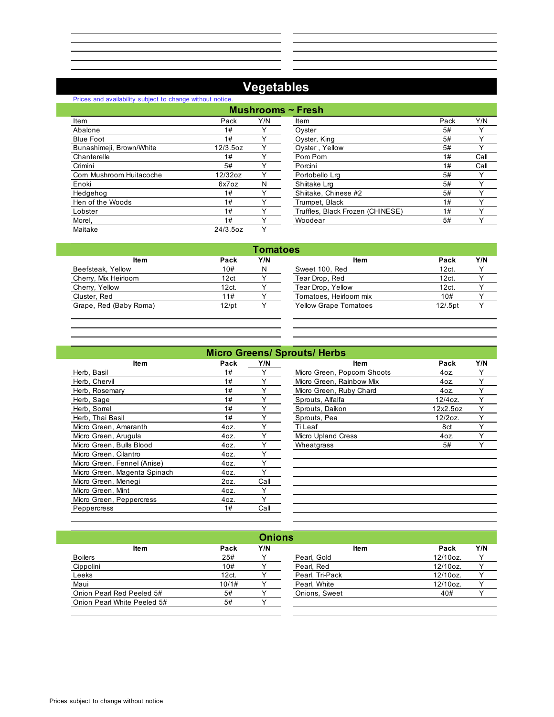# **Vegetables**

| Prices and availability subject to change without notice. |             |     |                                  |      |      |
|-----------------------------------------------------------|-------------|-----|----------------------------------|------|------|
|                                                           |             |     | Mushrooms $\sim$ Fresh           |      |      |
| Item                                                      | Pack        | Y/N | Item                             | Pack | Y/N  |
| Abalone                                                   | 1#          |     | Oyster                           | 5#   | Y    |
| <b>Blue Foot</b>                                          | 1#          |     | Oyster, King                     | 5#   |      |
| Bunashimeji, Brown/White                                  | $12/3.5$ oz |     | Oyster, Yellow                   | 5#   | ∨    |
| Chanterelle                                               | 1#          |     | Pom Pom                          | 1#   | Call |
| Crimini                                                   | 5#          |     | Porcini                          | 1#   | Call |
| Corn Mushroom Huitacoche                                  | 12/32oz     |     | Portobello Lra                   | 5#   | Y    |
| Enoki                                                     | 6x7oz       | N   | Shiitake Lrg                     | 5#   | v    |
| Hedgehog                                                  | 1#          |     | Shiitake, Chinese #2             | 5#   |      |
| Hen of the Woods                                          | 1#          |     | Trumpet, Black                   | 1#   |      |
| Lobster                                                   | 1#          |     | Truffles, Black Frozen (CHINESE) | 1#   |      |
| Morel.                                                    | 1#          |     | Woodear                          | 5#   | v    |
| Maitake                                                   | 24/3.5oz    | ◡   |                                  |      |      |

| ∙ Fresh                          |      |      |
|----------------------------------|------|------|
| Item                             | Pack | Y/N  |
| Oyster                           | 5#   |      |
| Oyster, King                     | 5#   |      |
| Oyster, Yellow                   | 5#   |      |
| Pom Pom                          | 1#   | Call |
| Porcini                          | 1#   | Call |
| Portobello Lra                   | 5#   |      |
| Shiitake Lrg                     | 5#   |      |
| Shiitake, Chinese #2             | 5#   |      |
| Trumpet, Black                   | 1#   |      |
| Truffles, Black Frozen (CHINESE) | 1#   |      |
| Woodear                          | 5#   |      |
|                                  |      |      |

| Tomatoes |     |                              |           |              |  |
|----------|-----|------------------------------|-----------|--------------|--|
| Pack     | Y/N | ltem                         | Pack      | Y/N          |  |
| 10#      | N   | Sweet 100, Red               | 12ct.     | $\checkmark$ |  |
| 12ct     |     | Tear Drop, Red               | 12ct.     | v            |  |
| 12ct.    |     | Tear Drop, Yellow            | 12ct.     |              |  |
| 11#      |     | Tomatoes, Heirloom mix       | 10#       |              |  |
| $12$ /pt |     | <b>Yellow Grape Tomatoes</b> | $12/5$ pt |              |  |
|          |     |                              |           |              |  |

| <b>Micro Greens/ Sprouts/ Herbs</b> |      |      |                             |          |    |  |
|-------------------------------------|------|------|-----------------------------|----------|----|--|
| <b>Item</b>                         | Pack | Y/N  | <b>Item</b>                 | Pack     | YI |  |
| Herb, Basil                         | 1#   | Υ    | Micro Green, Popcorn Shoots | 4oz.     |    |  |
| Herb, Chervil                       | 1#   | Y    | Micro Green, Rainbow Mix    | 4oz.     |    |  |
| Herb, Rosemary                      | 1#   | Y    | Micro Green, Ruby Chard     | 4oz.     |    |  |
| Herb, Sage                          | 1#   | Υ    | Sprouts, Alfalfa            | 12/4oz.  | Υ  |  |
| Herb, Sorrel                        | 1#   | Υ    | Sprouts, Daikon             | 12x2.5oz | Υ  |  |
| Herb, Thai Basil                    | 1#   | Υ    | Sprouts, Pea                | 12/2oz.  | Υ  |  |
| Micro Green, Amaranth               | 4oz. | Υ    | Ti Leaf                     | 8ct      |    |  |
| Micro Green, Arugula                | 4oz. | Υ    | <b>Micro Upland Cress</b>   | 4oz.     |    |  |
| Micro Green, Bulls Blood            | 4oz. | Υ    | Wheatgrass                  | 5#       |    |  |
| Micro Green, Cilantro               | 4oz. | Υ    |                             |          |    |  |
| Micro Green, Fennel (Anise)         | 4oz. | Υ    |                             |          |    |  |
| Micro Green, Magenta Spinach        | 4oz. | Υ    |                             |          |    |  |
| Micro Green, Menegi                 | 2oz. | Call |                             |          |    |  |
| Micro Green, Mint                   | 4oz. | Υ    |                             |          |    |  |
| Micro Green, Peppercress            | 4oz. | Υ    |                             |          |    |  |
| Peppercress                         | 1#   | Call |                             |          |    |  |

|             |      |              | <b>Micro Greens/ Sprouts/ Herbs</b> |            |     |  |
|-------------|------|--------------|-------------------------------------|------------|-----|--|
| <b>Item</b> | Pack | Y/N          | Item                                | Pack       | Y/N |  |
|             | 1#   |              | Micro Green, Popcorn Shoots         | 4oz.       |     |  |
|             | 1#   |              | Micro Green, Rainbow Mix            | 4oz.       |     |  |
|             | 1#   |              | Micro Green, Ruby Chard             | 4oz.       |     |  |
|             | 1#   |              | Sprouts, Alfalfa                    | $12/4$ oz. |     |  |
|             | 1#   |              | Sprouts, Daikon                     | 12x2.5oz   |     |  |
|             | 1#   |              | Sprouts, Pea                        | 12/2oz.    |     |  |
| anth        | 40z. |              | Ti Leaf                             | 8ct        |     |  |
| ءاد         | 4oz. |              | <b>Micro Upland Cress</b>           | 4oz.       |     |  |
| Blood       | 40z. |              | Wheatgrass                          | 5#         |     |  |
| tro         | 40z. |              |                                     |            |     |  |
| el (Anise)  | 40z. |              |                                     |            |     |  |
| nta Cninach | 407  | $\checkmark$ |                                     |            |     |  |

| <b>Onions</b>               |       |     |                 |          |     |
|-----------------------------|-------|-----|-----------------|----------|-----|
| <b>Item</b>                 | Pack  | Y/N | <b>Item</b>     | Pack     | Y/N |
| <b>Boilers</b>              | 25#   | Y   | Pearl, Gold     | 12/10oz. |     |
| Cippolini                   | 10#   |     | Pearl, Red      | 12/10oz. |     |
| Leeks                       | 12ct. |     | Pearl, Tri-Pack | 12/10oz. |     |
| Maui                        | 10/1# |     | Pearl, White    | 12/10oz. |     |
| Onion Pearl Red Peeled 5#   | 5#    |     | Onions, Sweet   | 40#      |     |
| Onion Pearl White Peeled 5# | 5#    |     |                 |          |     |